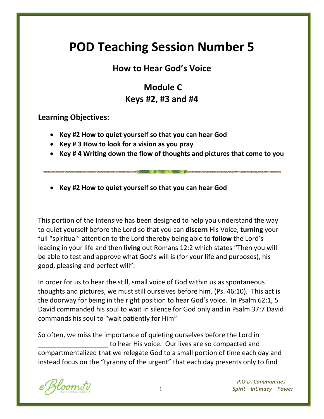# **POD Teaching Session Number 5**

# **How to Hear God's Voice**

# **Module C Keys #2, #3 and #4**

**Learning Objectives:**

- **Key #2 How to quiet yourself so that you can hear God**
- **Key # 3 How to look for a vision as you pray**
- **Key # 4 Writing down the flow of thoughts and pictures that come to you**
- **Key #2 How to quiet yourself so that you can hear God**

This portion of the Intensive has been designed to help you understand the way to quiet yourself before the Lord so that you can **discern** His Voice, **turning** your full "spiritual" attention to the Lord thereby being able to **follow** the Lord's leading in your life and then **living** out Romans 12:2 which states "Then you will be able to test and approve what God's will is (for your life and purposes), his good, pleasing and perfect will".

In order for us to hear the still, small voice of God within us as spontaneous thoughts and pictures, we must still ourselves before him. (Ps. 46:10). This act is the doorway for being in the right position to hear God's voice. In Psalm 62:1, 5 David commanded his soul to wait in silence for God only and in Psalm 37:7 David commands his soul to "wait patiently for Him"

So often, we miss the importance of quieting ourselves before the Lord in \_\_\_\_\_\_\_\_\_\_\_\_\_\_\_\_\_\_\_ to hear His voice. Our lives are so compacted and compartmentalized that we relegate God to a small portion of time each day and instead focus on the "tyranny of the urgent" that each day presents only to find

oom.tv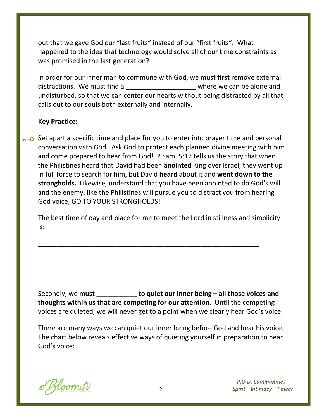out that we gave God our "last fruits" instead of our "first fruits". What happened to the idea that technology would solve all of our time constraints as was promised in the last generation?

In order for our inner man to commune with God, we must **first** remove external distractions. We must find a undisturbed, so that we can center our hearts without being distracted by all that calls out to our souls both externally and internally.

#### **Key Practice:**

Set apart a specific time and place for you to enter into prayer time and personal conversation with God. Ask God to protect each planned divine meeting with him and come prepared to hear from God! 2 Sam. 5:17 tells us the story that when the Philistines heard that David had been **anointed** King over Israel, they went up in full force to search for him, but David **heard** about it and **went down to the strongholds.** Likewise, understand that you have been anointed to do God's will and the enemy, like the Philistines will pursue you to distract you from hearing God voice, GO TO YOUR STRONGHOLDS!

The best time of day and place for me to meet the Lord in stillness and simplicity is:

\_\_\_\_\_\_\_\_\_\_\_\_\_\_\_\_\_\_\_\_\_\_\_\_\_\_\_\_\_\_\_\_\_\_\_\_\_\_\_\_\_\_\_\_\_\_\_\_\_\_\_\_\_\_\_\_\_\_\_\_

Secondly, we **must \_\_\_\_\_\_\_\_\_\_\_ to quiet our inner being – all those voices and thoughts within us that are competing for our attention.** Until the competing voices are quieted, we will never get to a point when we clearly hear God's voice.

There are many ways we can quiet our inner being before God and hear his voice. The chart below reveals effective ways of quieting yourself in preparation to hear God's voice:

Kloom.tv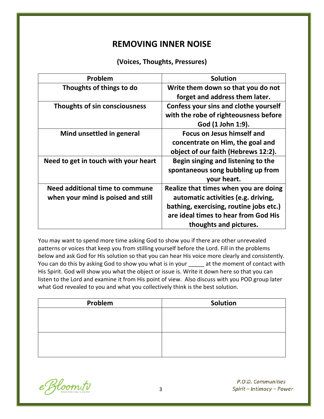## **REMOVING INNER NOISE**

#### **(Voices, Thoughts, Pressures)**

| Problem                              | <b>Solution</b>                         |
|--------------------------------------|-----------------------------------------|
| Thoughts of things to do             | Write them down so that you do not      |
|                                      | forget and address them later.          |
| Thoughts of sin consciousness        | Confess your sins and clothe yourself   |
|                                      | with the robe of righteousness before   |
|                                      | God (1 John 1:9).                       |
| Mind unsettled in general            | <b>Focus on Jesus himself and</b>       |
|                                      | concentrate on Him, the goal and        |
|                                      | object of our faith (Hebrews 12:2).     |
| Need to get in touch with your heart | Begin singing and listening to the      |
|                                      | spontaneous song bubbling up from       |
|                                      | your heart.                             |
| Need additional time to commune      | Realize that times when you are doing   |
| when your mind is poised and still   | automatic activities (e.g. driving,     |
|                                      | bathing, exercising, routine jobs etc.) |
|                                      | are ideal times to hear from God His    |
|                                      | thoughts and pictures.                  |

You may want to spend more time asking God to show you if there are other unrevealed patterns or voices that keep you from stilling yourself before the Lord. Fill in the problems below and ask God for His solution so that you can hear His voice more clearly and consistently. You can do this by asking God to show you what is in your at the moment of contact with His Spirit. God will show you what the object or issue is. Write it down here so that you can listen to the Lord and examine it from His point of view. Also discuss with you POD group later what God revealed to you and what you collectively think is the best solution.

| Problem | Solution |
|---------|----------|
|         |          |
|         |          |
|         |          |
|         |          |
|         |          |
|         |          |

e Bloom.tv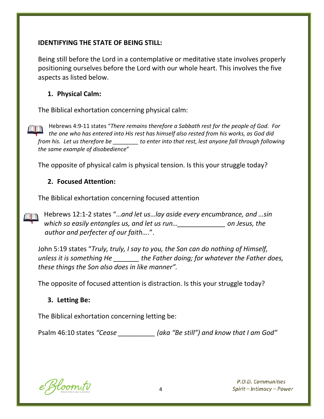#### **IDENTIFYING THE STATE OF BEING STILL:**

Being still before the Lord in a contemplative or meditative state involves properly positioning ourselves before the Lord with our whole heart. This involves the five aspects as listed below.

#### **1. Physical Calm:**

The Biblical exhortation concerning physical calm:

Hebrews 4:9-11 states "*There remains therefore a Sabbath rest for the people of God. For the one who has entered into His rest has himself also rested from his works, as God did from his. Let us therefore be \_\_\_\_\_\_\_\_ to enter into that rest, lest anyone fall through following the same example of disobedience*"

The opposite of physical calm is physical tension. Is this your struggle today?

#### **2. Focused Attention:**

The Biblical exhortation concerning focused attention

Hebrews 12:1-2 states "…*and let us…lay aside every encumbrance, and …sin which so easily entangles us, and let us run…\_\_\_\_\_\_\_\_\_\_\_\_\_ on Jesus, the author and perfecter of our faith…*.".

John 5:19 states "*Truly, truly, I say to you, the Son can do nothing of Himself, unless it is something He \_\_\_\_\_\_\_ the Father doing; for whatever the Father does, these things the Son also does in like manner".*

The opposite of focused attention is distraction. Is this your struggle today?

#### **3. Letting Be:**

The Biblical exhortation concerning letting be:

Psalm 46:10 states *"Cease \_\_\_\_\_\_\_\_\_\_ (aka "Be still") and know that I am God"*

Bloom.tv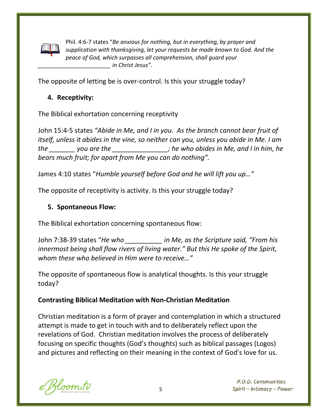

Phil. 4:6-7 states "*Be anxious for nothing, but in everything, by prayer and supplication with thanksgiving, let your requests be made known to God. And the peace of God, which surpasses all comprehension, shall guard your \_\_\_\_\_\_\_\_\_\_\_\_\_\_\_\_\_\_\_\_\_\_\_ in Christ Jesus".*

The opposite of letting be is over-control. Is this your struggle today?

#### **4. Receptivity:**

The Biblical exhortation concerning receptivity

John 15:4-5 states *"Abide in Me, and I in you. As the branch cannot bear fruit of itself, unless it abides in the vine, so neither can you, unless you abide in Me. I am the \_\_\_\_\_\_\_ you are the \_\_\_\_\_\_\_\_\_\_\_\_\_\_\_; he who abides in Me, and I in him, he bears much fruit; for apart from Me you can do nothing".*

James 4:10 states "*Humble yourself before God and he will lift you up…"*

The opposite of receptivity is activity. Is this your struggle today?

#### **5. Spontaneous Flow:**

The Biblical exhortation concerning spontaneous flow:

John 7:38-39 states "*He who \_\_\_\_\_\_\_\_\_\_ in Me, as the Scripture said, "From his innermost being shall flow rivers of living water." But this He spoke of the Spirit, whom these who believed in Him were to receive…"*

The opposite of spontaneous flow is analytical thoughts. Is this your struggle today?

#### **Contrasting Biblical Meditation with Non-Christian Meditation**

Christian meditation is a form of prayer and contemplation in which a structured attempt is made to get in touch with and to deliberately reflect upon the revelations of God. Christian meditation involves the process of deliberately focusing on specific thoughts (God's thoughts) such as biblical passages (Logos) and pictures and reflecting on their meaning in the context of God's love for us.

Hoom.tv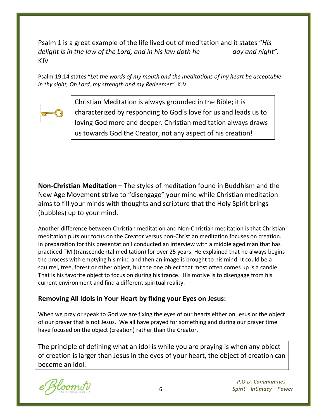Psalm 1 is a great example of the life lived out of meditation and it states "*His delight is in the law of the Lord, and in his law doth he \_\_\_\_\_\_\_\_ day and night".*  KJV

Psalm 19:14 states "*Let the words of my mouth and the meditations of my heart be acceptable in thy sight, Oh Lord, my strength and my Redeemer".* KJV



Christian Meditation is always grounded in the Bible; it is characterized by responding to God's love for us and leads us to loving God more and deeper. Christian meditation always draws us towards God the Creator, not any aspect of his creation!

**Non-Christian Meditation –** The styles of meditation found in Buddhism and the New Age Movement strive to "disengage" your mind while Christian meditation aims to fill your minds with thoughts and scripture that the Holy Spirit brings (bubbles) up to your mind.

Another difference between Christian meditation and Non-Christian meditation is that Christian meditation puts our focus on the Creator versus non-Christian meditation focuses on creation. In preparation for this presentation I conducted an interview with a middle aged man that has practiced TM (transcendental meditation) for over 25 years. He explained that he always begins the process with emptying his mind and then an image is brought to his mind. It could be a squirrel, tree, forest or other object, but the one object that most often comes up is a candle. That is his favorite object to focus on during his trance. His motive is to disengage from his current environment and find a different spiritual reality.

#### **Removing All Idols in Your Heart by fixing your Eyes on Jesus:**

When we pray or speak to God we are fixing the eyes of our hearts either on Jesus or the object of our prayer that is not Jesus. We all have prayed for something and during our prayer time have focused on the object (creation) rather than the Creator.

The principle of defining what an idol is while you are praying is when any object of creation is larger than Jesus in the eyes of your heart, the object of creation can become an idol.

loom.tv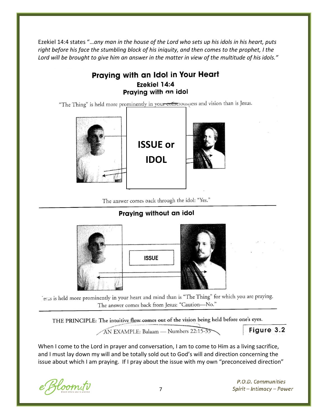Ezekiel 14:4 states "…*any man in the house of the Lord who sets up his idols in his heart, puts right before his face the stumbling block of his iniquity, and then comes to the prophet, I the Lord will be brought to give him an answer in the matter in view of the multitude of his idols."*

#### Praying with an Idol in Your Heart Ezekiel 14:4 Praying with an idol

"The Thing" is held more prominently in your consciousness and vision than is Jesus.



**ISSUE or IDOL**



The answer comes back through the idol: "Yes."

#### Praying without an idol



is a similar to the prominently in your heart and mind than is "The Thing" for which you are praying. The answer comes back from Jesus: "Caution-No."

THE PRINCIPLE: The intuitive flow comes out of the vision being held before one's eyes.

AN EXAMPLE: Balaam — Numbers 22:15-35

Figure 3.2

When I come to the Lord in prayer and conversation, I am to come to Him as a living sacrifice, and I must lay down my will and be totally sold out to God's will and direction concerning the issue about which I am praying. If I pray about the issue with my own "preconceived direction"

Zloom.tv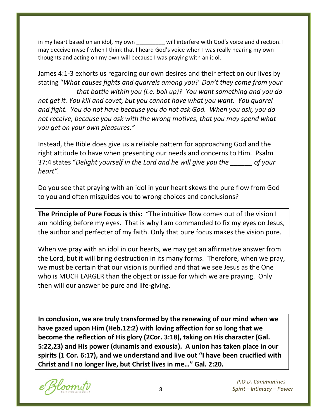in my heart based on an idol, my own \_\_\_\_\_\_\_\_ will interfere with God's voice and direction. I may deceive myself when I think that I heard God's voice when I was really hearing my own thoughts and acting on my own will because I was praying with an idol.

James 4:1-3 exhorts us regarding our own desires and their effect on our lives by stating "*What causes fights and quarrels among you? Don't they come from your \_\_\_\_\_\_\_\_\_\_ that battle within you (i.e. boil up)? You want something and you do not get it. You kill and covet, but you cannot have what you want. You quarrel and fight. You do not have because you do not ask God. When you ask, you do not receive, because you ask with the wrong motives, that you may spend what you get on your own pleasures."*

Instead, the Bible does give us a reliable pattern for approaching God and the right attitude to have when presenting our needs and concerns to Him. Psalm 37:4 states "*Delight yourself in the Lord and he will give you the \_\_\_\_\_\_ of your heart".*

Do you see that praying with an idol in your heart skews the pure flow from God to you and often misguides you to wrong choices and conclusions?

**The Principle of Pure Focus is this:** "The intuitive flow comes out of the vision I am holding before my eyes. That is why I am commanded to fix my eyes on Jesus, the author and perfecter of my faith. Only that pure focus makes the vision pure.

When we pray with an idol in our hearts, we may get an affirmative answer from the Lord, but it will bring destruction in its many forms. Therefore, when we pray, we must be certain that our vision is purified and that we see Jesus as the One who is MUCH LARGER than the object or issue for which we are praying. Only then will our answer be pure and life-giving.

**In conclusion, we are truly transformed by the renewing of our mind when we have gazed upon Him (Heb.12:2) with loving affection for so long that we become the reflection of His glory (2Cor. 3:18), taking on His character (Gal. 5:22,23) and His power (dunamis and exousia). A union has taken place in our spirits (1 Cor. 6:17), and we understand and live out "I have been crucified with Christ and I no longer live, but Christ lives in me…" Gal. 2:20.**

Hoom.tv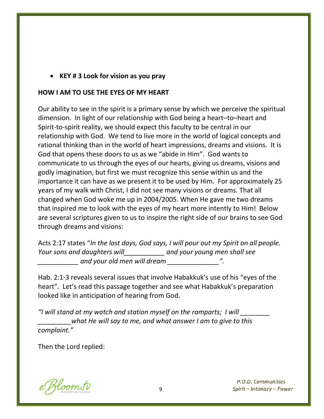#### • **KEY # 3 Look for vision as you pray**

#### **HOW I AM TO USE THE EYES OF MY HEART**

Our ability to see in the spirit is a primary sense by which we perceive the spiritual dimension. In light of our relationship with God being a heart–to–heart and Spirit-to-spirit reality, we should expect this faculty to be central in our relationship with God. We tend to live more in the world of logical concepts and rational thinking than in the world of heart impressions, dreams and visions. It is God that opens these doors to us as we "abide in Him". God wants to communicate to us through the eyes of our hearts, giving us dreams, visions and godly imagination, but first we must recognize this sense within us and the importance it can have as we present it to be used by Him. For approximately 25 years of my walk with Christ, I did not see many visions or dreams. That all changed when God woke me up in 2004/2005. When He gave me two dreams that inspired me to look with the eyes of my heart more intently to Him! Below are several scriptures given to us to inspire the right side of our brains to see God through dreams and visions:

Acts 2:17 states "*In the last days, God says, I will pour out my Spirit on all people. Your sons and daughters will\_\_\_\_\_\_\_\_\_\_\_ and your young men shall see \_\_\_\_\_\_\_\_\_\_\_ and your old men will dream \_\_\_\_\_\_\_\_\_\_\_\_\_\_".*

Hab. 2:1-3 reveals several issues that involve Habakkuk's use of his "eyes of the heart". Let's read this passage together and see what Habakkuk's preparation looked like in anticipation of hearing from God.

*"I will stand at my watch and station myself on the ramparts; I will \_\_\_\_\_\_\_\_ \_\_\_\_\_\_\_\_\_what He will say to me, and what answer I am to give to this complaint."*

Then the Lord replied:

Bloom.tv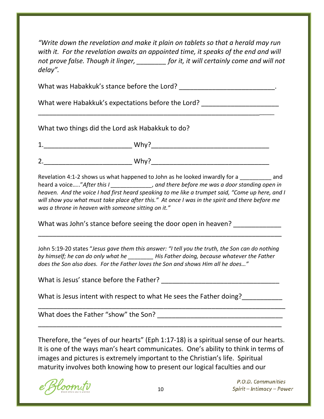*"Write down the revelation and make it plain on tablets so that a herald may run*  with it. For the revelation awaits an appointed time, it speaks of the end and will *not prove false. Though it linger, \_\_\_\_\_\_\_\_ for it, it will certainly come and will not delay".*

What was Habakkuk's stance before the Lord? \_\_\_\_\_\_\_\_\_\_\_\_\_\_\_\_\_\_\_\_\_\_\_\_\_\_\_\_.

\_\_\_\_\_\_\_\_\_\_\_\_\_\_\_\_\_\_\_\_\_\_\_\_\_\_\_\_\_\_\_\_\_\_\_\_\_\_\_\_\_\_\_\_\_\_\_\_\_\_\_\_\_\_\_\_\_\_\_\_\_\_\_\_

What were Habakkuk's expectations before the Lord?

What two things did the Lord ask Habakkuk to do?

| 1.               | -<br>181L.,<br>,,,,,              |
|------------------|-----------------------------------|
| $\overline{2}$ . | $\overline{\phantom{0}}$<br>VVIIV |

Revelation 4:1-2 shows us what happened to John as he looked inwardly for a same and heard a voice....."After this I \_\_\_\_\_\_\_\_\_\_\_, and there before me was a door standing open in *heaven. And the voice I had first heard speaking to me like a trumpet said, "Come up here, and I will show you what must take place after this." At once I was in the spirit and there before me was a throne in heaven with someone sitting on it."*

What was John's stance before seeing the door open in heaven?

John 5:19-20 states "*Jesus gave them this answer: "I tell you the truth, the Son can do nothing by himself; he can do only what he \_\_\_\_\_\_\_\_ His Father doing, because whatever the Father does the Son also does. For the Father loves the Son and shows Him all he does…"*

\_\_\_\_\_\_\_\_\_\_\_\_\_\_\_\_\_\_\_\_\_\_\_\_\_\_\_\_\_\_\_\_\_\_\_\_\_\_\_\_\_\_\_\_\_\_\_\_\_\_\_\_\_\_\_\_\_\_\_\_\_\_\_\_\_\_

What is Jesus' stance before the Father? \_\_\_\_\_\_\_\_\_\_\_\_\_\_\_\_\_\_\_\_\_\_\_\_\_\_\_\_\_\_\_\_

What is Jesus intent with respect to what He sees the Father doing?

What does the Father "show" the Son?

Therefore, the "eyes of our hearts" (Eph 1:17-18) is a spiritual sense of our hearts. It is one of the ways man's heart communicates. One's ability to think in terms of images and pictures is extremely important to the Christian's life. Spiritual maturity involves both knowing how to present our logical faculties and our

\_\_\_\_\_\_\_\_\_\_\_\_\_\_\_\_\_\_\_\_\_\_\_\_\_\_\_\_\_\_\_\_\_\_\_\_\_\_\_\_\_\_\_\_\_\_\_\_\_\_\_\_\_\_\_\_\_\_\_\_\_\_\_\_\_\_\_

\_\_\_\_\_\_\_\_\_\_\_\_\_\_\_\_\_\_\_\_\_\_\_\_\_\_\_\_\_\_\_\_\_\_\_\_\_\_\_\_\_\_\_\_\_\_\_\_\_\_\_\_\_\_\_\_\_\_\_\_\_\_\_\_\_\_

loom.tv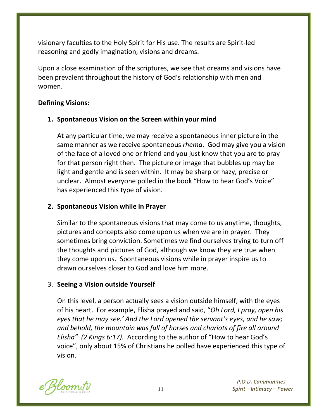visionary faculties to the Holy Spirit for His use. The results are Spirit-led reasoning and godly imagination, visions and dreams.

Upon a close examination of the scriptures, we see that dreams and visions have been prevalent throughout the history of God's relationship with men and women.

#### **Defining Visions:**

#### **1. Spontaneous Vision on the Screen within your mind**

At any particular time, we may receive a spontaneous inner picture in the same manner as we receive spontaneous *rhema*. God may give you a vision of the face of a loved one or friend and you just know that you are to pray for that person right then. The picture or image that bubbles up may be light and gentle and is seen within. It may be sharp or hazy, precise or unclear. Almost everyone polled in the book "How to hear God's Voice" has experienced this type of vision.

#### **2. Spontaneous Vision while in Prayer**

Similar to the spontaneous visions that may come to us anytime, thoughts, pictures and concepts also come upon us when we are in prayer. They sometimes bring conviction. Sometimes we find ourselves trying to turn off the thoughts and pictures of God, although we know they are true when they come upon us. Spontaneous visions while in prayer inspire us to drawn ourselves closer to God and love him more.

#### 3. **Seeing a Vision outside Yourself**

On this level, a person actually sees a vision outside himself, with the eyes of his heart. For example, Elisha prayed and said, "*Oh Lord, I pray, open his eyes that he may see.' And the Lord opened the servant's eyes, and he saw; and behold, the mountain was full of horses and chariots of fire all around Elisha" (2 Kings 6:17).* According to the author of "How to hear God's voice", only about 15% of Christians he polled have experienced this type of vision.

Bloom.tv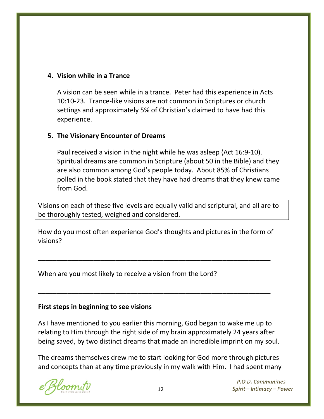#### **4. Vision while in a Trance**

A vision can be seen while in a trance. Peter had this experience in Acts 10:10-23. Trance-like visions are not common in Scriptures or church settings and approximately 5% of Christian's claimed to have had this experience.

#### **5. The Visionary Encounter of Dreams**

Paul received a vision in the night while he was asleep (Act 16:9-10). Spiritual dreams are common in Scripture (about 50 in the Bible) and they are also common among God's people today. About 85% of Christians polled in the book stated that they have had dreams that they knew came from God.

Visions on each of these five levels are equally valid and scriptural, and all are to be thoroughly tested, weighed and considered.

How do you most often experience God's thoughts and pictures in the form of visions?

\_\_\_\_\_\_\_\_\_\_\_\_\_\_\_\_\_\_\_\_\_\_\_\_\_\_\_\_\_\_\_\_\_\_\_\_\_\_\_\_\_\_\_\_\_\_\_\_\_\_\_\_\_\_\_\_\_\_\_\_\_\_\_

\_\_\_\_\_\_\_\_\_\_\_\_\_\_\_\_\_\_\_\_\_\_\_\_\_\_\_\_\_\_\_\_\_\_\_\_\_\_\_\_\_\_\_\_\_\_\_\_\_\_\_\_\_\_\_\_\_\_\_\_\_\_\_

When are you most likely to receive a vision from the Lord?

#### **First steps in beginning to see visions**

As I have mentioned to you earlier this morning, God began to wake me up to relating to Him through the right side of my brain approximately 24 years after being saved, by two distinct dreams that made an incredible imprint on my soul.

The dreams themselves drew me to start looking for God more through pictures and concepts than at any time previously in my walk with Him. I had spent many

loom.tv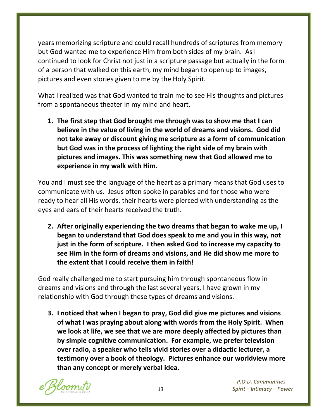years memorizing scripture and could recall hundreds of scriptures from memory but God wanted me to experience Him from both sides of my brain. As I continued to look for Christ not just in a scripture passage but actually in the form of a person that walked on this earth, my mind began to open up to images, pictures and even stories given to me by the Holy Spirit.

What I realized was that God wanted to train me to see His thoughts and pictures from a spontaneous theater in my mind and heart.

**1. The first step that God brought me through was to show me that I can believe in the value of living in the world of dreams and visions. God did not take away or discount giving me scripture as a form of communication but God was in the process of lighting the right side of my brain with pictures and images. This was something new that God allowed me to experience in my walk with Him.**

You and I must see the language of the heart as a primary means that God uses to communicate with us. Jesus often spoke in parables and for those who were ready to hear all His words, their hearts were pierced with understanding as the eyes and ears of their hearts received the truth.

**2. After originally experiencing the two dreams that began to wake me up, I began to understand that God does speak to me and you in this way, not just in the form of scripture. I then asked God to increase my capacity to see Him in the form of dreams and visions, and He did show me more to the extent that I could receive them in faith!**

God really challenged me to start pursuing him through spontaneous flow in dreams and visions and through the last several years, I have grown in my relationship with God through these types of dreams and visions.

**3. I noticed that when I began to pray, God did give me pictures and visions of what I was praying about along with words from the Holy Spirit. When we look at life, we see that we are more deeply affected by pictures than by simple cognitive communication. For example, we prefer television over radio, a speaker who tells vivid stories over a didactic lecturer, a testimony over a book of theology. Pictures enhance our worldview more than any concept or merely verbal idea.**

loom.tv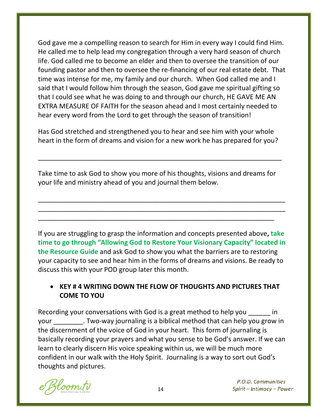God gave me a compelling reason to search for Him in every way I could find Him. He called me to help lead my congregation through a very hard season of church life. God called me to become an elder and then to oversee the transition of our founding pastor and then to oversee the re-financing of our real estate debt. That time was intense for me, my family and our church. When God called me and I said that I would follow him through the season, God gave me spiritual gifting so that I could see what he was doing to and through our church, HE GAVE ME AN EXTRA MEASURE OF FAITH for the season ahead and I most certainly needed to hear every word from the Lord to get through the season of transition!

Has God stretched and strengthened you to hear and see him with your whole heart in the form of dreams and vision for a new work he has prepared for you?

\_\_\_\_\_\_\_\_\_\_\_\_\_\_\_\_\_\_\_\_\_\_\_\_\_\_\_\_\_\_\_\_\_\_\_\_\_\_\_\_\_\_\_\_\_\_\_\_\_\_\_\_\_\_\_\_\_\_\_\_\_\_\_\_\_\_

Take time to ask God to show you more of his thoughts, visions and dreams for your life and ministry ahead of you and journal them below.

\_\_\_\_\_\_\_\_\_\_\_\_\_\_\_\_\_\_\_\_\_\_\_\_\_\_\_\_\_\_\_\_\_\_\_\_\_\_\_\_\_\_\_\_\_\_\_\_\_\_\_\_\_\_\_\_\_\_\_\_\_\_\_\_\_\_\_ \_\_\_\_\_\_\_\_\_\_\_\_\_\_\_\_\_\_\_\_\_\_\_\_\_\_\_\_\_\_\_\_\_\_\_\_\_\_\_\_\_\_\_\_\_\_\_\_\_\_\_\_\_\_\_\_\_\_\_\_\_\_\_\_\_\_\_

\_\_\_\_\_\_\_\_\_\_\_\_\_\_\_\_\_\_\_\_\_\_\_\_\_\_\_\_\_\_\_\_\_\_\_\_\_\_\_\_\_\_\_\_\_\_\_\_\_\_\_\_\_\_\_\_\_\_\_\_\_\_\_\_

If you are struggling to grasp the information and concepts presented above**, take time to go through "Allowing God to Restore Your Visionary Capacity" located in the Resource Guide** and ask God to show you what the barriers are to restoring your capacity to see and hear him in the forms of dreams and visions. Be ready to discuss this with your POD group later this month.

### • **KEY # 4 WRITING DOWN THE FLOW OF THOUGHTS AND PICTURES THAT COME TO YOU**

Recording your conversations with God is a great method to help you in your \_\_\_\_\_\_\_\_. Two-way journaling is a biblical method that can help you grow in the discernment of the voice of God in your heart. This form of journaling is basically recording your prayers and what you sense to be God's answer. If we can learn to clearly discern His voice speaking within us, we will be much more confident in our walk with the Holy Spirit. Journaling is a way to sort out God's thoughts and pictures.

loom.tv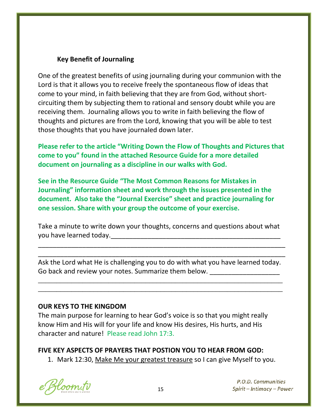#### **Key Benefit of Journaling**

One of the greatest benefits of using journaling during your communion with the Lord is that it allows you to receive freely the spontaneous flow of ideas that come to your mind, in faith believing that they are from God, without shortcircuiting them by subjecting them to rational and sensory doubt while you are receiving them. Journaling allows you to write in faith believing the flow of thoughts and pictures are from the Lord, knowing that you will be able to test those thoughts that you have journaled down later.

**Please refer to the article "Writing Down the Flow of Thoughts and Pictures that come to you" found in the attached Resource Guide for a more detailed document on journaling as a discipline in our walks with God.** 

**See in the Resource Guide "The Most Common Reasons for Mistakes in Journaling" information sheet and work through the issues presented in the document. Also take the "Journal Exercise" sheet and practice journaling for one session. Share with your group the outcome of your exercise.**

Take a minute to write down your thoughts, concerns and questions about what you have learned today. The same state of the same state of the same state of the same state of the same state

\_\_\_\_\_\_\_\_\_\_\_\_\_\_\_\_\_\_\_\_\_\_\_\_\_\_\_\_\_\_\_\_\_\_\_\_\_\_\_\_\_\_\_\_\_\_\_\_\_\_\_\_\_\_\_\_\_\_\_\_\_\_\_\_\_\_\_ \_\_\_\_\_\_\_\_\_\_\_\_\_\_\_\_\_\_\_\_\_\_\_\_\_\_\_\_\_\_\_\_\_\_\_\_\_\_\_\_\_\_\_\_\_\_\_\_\_\_\_\_\_\_\_\_\_\_\_\_\_\_\_\_\_\_\_

Ask the Lord what He is challenging you to do with what you have learned today. Go back and review your notes. Summarize them below.

\_\_\_\_\_\_\_\_\_\_\_\_\_\_\_\_\_\_\_\_\_\_\_\_\_\_\_\_\_\_\_\_\_\_\_\_\_\_\_\_\_\_\_\_\_\_\_\_\_\_\_\_\_\_\_\_\_\_\_\_\_\_\_\_\_\_ \_\_\_\_\_\_\_\_\_\_\_\_\_\_\_\_\_\_\_\_\_\_\_\_\_\_\_\_\_\_\_\_\_\_\_\_\_\_\_\_\_\_\_\_\_\_\_\_\_\_\_\_\_\_\_\_\_\_\_\_\_\_\_\_\_\_

#### **OUR KEYS TO THE KINGDOM**

The main purpose for learning to hear God's voice is so that you might really know Him and His will for your life and know His desires, His hurts, and His character and nature! Please read John 17:3.

#### **FIVE KEY ASPECTS OF PRAYERS THAT POSTION YOU TO HEAR FROM GOD:**

1. Mark 12:30, Make Me your greatest treasure so I can give Myself to you.

Hoom.tv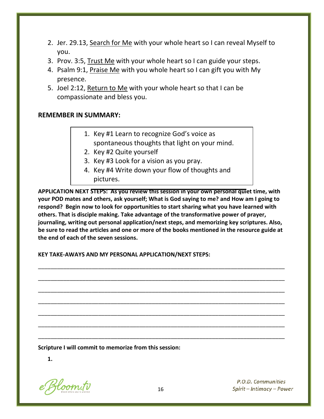- 2. Jer. 29.13, Search for Me with your whole heart so I can reveal Myself to you.
- 3. Prov. 3:5, Trust Me with your whole heart so I can guide your steps.
- 4. Psalm 9:1, Praise Me with you whole heart so I can gift you with My presence.
- 5. Joel 2:12, Return to Me with your whole heart so that I can be compassionate and bless you.

#### **REMEMBER IN SUMMARY:**

- 1. Key #1 Learn to recognize God's voice as spontaneous thoughts that light on your mind.
- 2. Key #2 Quite yourself
- 3. Key #3 Look for a vision as you pray.
- 4. Key #4 Write down your flow of thoughts and pictures.

**APPLICATION NEXT STEPS: As you review this session in your own personal quiet time, with your POD mates and others, ask yourself; What is God saying to me? and How am I going to respond? Begin now to look for opportunities to start sharing what you have learned with others. That is disciple making. Take advantage of the transformative power of prayer, journaling, writing out personal application/next steps, and memorizing key scriptures. Also, be sure to read the articles and one or more of the books mentioned in the resource guide at the end of each of the seven sessions.**

\_\_\_\_\_\_\_\_\_\_\_\_\_\_\_\_\_\_\_\_\_\_\_\_\_\_\_\_\_\_\_\_\_\_\_\_\_\_\_\_\_\_\_\_\_\_\_\_\_\_\_\_\_\_\_\_\_\_\_\_\_\_\_\_\_\_\_\_\_\_\_\_\_\_\_\_\_\_

\_\_\_\_\_\_\_\_\_\_\_\_\_\_\_\_\_\_\_\_\_\_\_\_\_\_\_\_\_\_\_\_\_\_\_\_\_\_\_\_\_\_\_\_\_\_\_\_\_\_\_\_\_\_\_\_\_\_\_\_\_\_\_\_\_\_\_\_\_\_\_\_\_\_\_\_\_\_

\_\_\_\_\_\_\_\_\_\_\_\_\_\_\_\_\_\_\_\_\_\_\_\_\_\_\_\_\_\_\_\_\_\_\_\_\_\_\_\_\_\_\_\_\_\_\_\_\_\_\_\_\_\_\_\_\_\_\_\_\_\_\_\_\_\_\_\_\_\_\_\_\_\_\_\_\_\_

\_\_\_\_\_\_\_\_\_\_\_\_\_\_\_\_\_\_\_\_\_\_\_\_\_\_\_\_\_\_\_\_\_\_\_\_\_\_\_\_\_\_\_\_\_\_\_\_\_\_\_\_\_\_\_\_\_\_\_\_\_\_\_\_\_\_\_\_\_\_\_\_\_\_\_\_\_\_

\_\_\_\_\_\_\_\_\_\_\_\_\_\_\_\_\_\_\_\_\_\_\_\_\_\_\_\_\_\_\_\_\_\_\_\_\_\_\_\_\_\_\_\_\_\_\_\_\_\_\_\_\_\_\_\_\_\_\_\_\_\_\_\_\_\_\_\_\_\_\_\_\_\_\_\_\_\_

\_\_\_\_\_\_\_\_\_\_\_\_\_\_\_\_\_\_\_\_\_\_\_\_\_\_\_\_\_\_\_\_\_\_\_\_\_\_\_\_\_\_\_\_\_\_\_\_\_\_\_\_\_\_\_\_\_\_\_\_\_\_\_\_\_\_\_\_\_\_\_\_\_\_\_\_\_\_

\_\_\_\_\_\_\_\_\_\_\_\_\_\_\_\_\_\_\_\_\_\_\_\_\_\_\_\_\_\_\_\_\_\_\_\_\_\_\_\_\_\_\_\_\_\_\_\_\_\_\_\_\_\_\_\_\_\_\_\_\_\_\_\_\_\_\_\_\_\_\_\_\_\_\_\_\_\_

**KEY TAKE-AWAYS AND MY PERSONAL APPLICATION/NEXT STEPS:**

**Scripture I will commit to memorize from this session:**

**1.** 

Bloom.tv